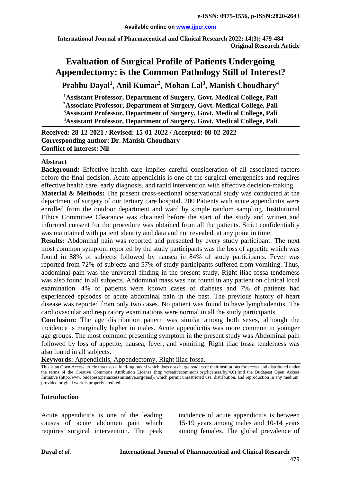**International Journal of Pharmaceutical and Clinical Research 2022; 14(3); 479-484 Original Research Article**

# **Evaluation of Surgical Profile of Patients Undergoing Appendectomy: is the Common Pathology Still of Interest?**

**Prabhu Dayal1 , Anil Kumar2 , Mohan Lal3 , Manish Choudhary<sup>4</sup>**

 **Assistant Professor, Department of Surgery, Govt. Medical College, Pali Associate Professor, Department of Surgery, Govt. Medical College, Pali 3Assistant Professor, Department of Surgery, Govt. Medical College, Pali Assistant Professor, Department of Surgery, Govt. Medical College, Pali**

**Received: 28-12-2021 / Revised: 15-01-2022 / Accepted: 08-02-2022 Corresponding author: Dr. Manish Choudhary Conflict of interest: Nil**

#### **Abstract**

**Background:** Effective health care implies careful consideration of all associated factors before the final decision. Acute appendicitis is one of the surgical emergencies and requires effective health care, early diagnosis, and rapid intervention with effective decision-making.

**Material & Methods:** The present cross-sectional observational study was conducted at the department of surgery of our tertiary care hospital. 200 Patients with acute appendicitis were enrolled from the outdoor department and ward by simple random sampling. Institutional Ethics Committee Clearance was obtained before the start of the study and written and informed consent for the procedure was obtained from all the patients. Strict confidentiality was maintained with patient identity and data and not revealed, at any point in time.

**Results:** Abdominal pain was reported and presented by every study participant. The next most common symptom reported by the study participants was the loss of appetite which was found in 88% of subjects followed by nausea in 84% of study participants. Fever was reported from 72% of subjects and 57% of study participants suffered from vomiting. Thus, abdominal pain was the universal finding in the present study. Right iliac fossa tenderness was also found in all subjects. Abdominal mass was not found in any patient on clinical local examination. 4% of patients were known cases of diabetes and 7% of patients had experienced episodes of acute abdominal pain in the past. The previous history of heart disease was reported from only two cases. No patient was found to have lymphadenitis. The cardiovascular and respiratory examinations were normal in all the study participants.

**Conclusion:** The age distribution pattern was similar among both sexes, although the incidence is marginally higher in males. Acute appendicitis was more common in younger age groups. The most common presenting symptom in the present study was Abdominal pain followed by loss of appetite, nausea, fever, and vomiting. Right iliac fossa tenderness was also found in all subjects.

**Keywords:** Appendicitis, Appendectomy, Right iliac fossa.

This is an Open Access article that uses a fund-ing model which does not charge readers or their institutions for access and distributed under the terms of the Creative Commons Attribution License (http://creativecommons.org/licenses/by/4.0) and the Budapest Open Access Initiative (http://www.budapestopenaccessinitiative.org/read), which permit unrestricted use, distribution, and reproduction in any medium, provided original work is properly credited.

#### **Introduction**

Acute appendicitis is one of the leading causes of acute abdomen pain which requires surgical intervention. The peak

incidence of acute appendicitis is between 15-19 years among males and 10-14 years among females. The global prevalence of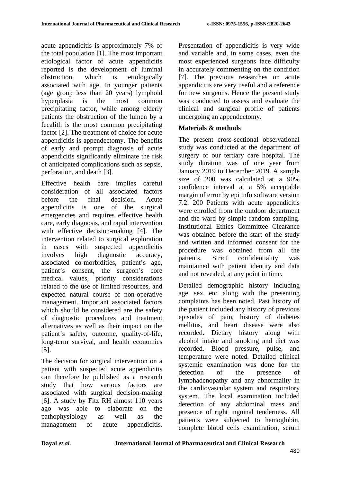acute appendicitis is approximately 7% of the total population [1]. The most important etiological factor of acute appendicitis reported is the development of luminal obstruction, which is etiologically associated with age. In younger patients (age group less than 20 years) lymphoid hyperplasia is the most common precipitating factor, while among elderly patients the obstruction of the lumen by a fecalith is the most common precipitating factor [2]. The treatment of choice for acute appendicitis is appendectomy. The benefits of early and prompt diagnosis of acute appendicitis significantly eliminate the risk of anticipated complications such as sepsis, perforation, and death [3].

Effective health care implies careful consideration of all associated factors before the final decision. Acute appendicitis is one of the surgical emergencies and requires effective health care, early diagnosis, and rapid intervention with effective decision-making [4]. The intervention related to surgical exploration in cases with suspected appendicitis involves high diagnostic accuracy, associated co-morbidities, patient's age, patient's consent, the surgeon's core medical values, priority considerations related to the use of limited resources, and expected natural course of non-operative management. Important associated factors which should be considered are the safety of diagnostic procedures and treatment alternatives as well as their impact on the patient's safety, outcome, quality-of-life, long-term survival, and health economics [5].

The decision for surgical intervention on a patient with suspected acute appendicitis can therefore be published as a research study that how various factors are associated with surgical decision-making [6]. A study by Fitz RH almost 110 years ago was able to elaborate on the pathophysiology as well as the management of acute appendicitis.

Presentation of appendicitis is very wide and variable and, in some cases, even the most experienced surgeons face difficulty in accurately commenting on the condition [7]. The previous researches on acute appendicitis are very useful and a reference for new surgeons. Hence the present study was conducted to assess and evaluate the clinical and surgical profile of patients undergoing an appendectomy.

## **Materials & methods**

The present cross-sectional observational study was conducted at the department of surgery of our tertiary care hospital. The study duration was of one year from January 2019 to December 2019. A sample size of 200 was calculated at a 90% confidence interval at a 5% acceptable margin of error by epi info software version 7.2. 200 Patients with acute appendicitis were enrolled from the outdoor department and the ward by simple random sampling. Institutional Ethics Committee Clearance was obtained before the start of the study and written and informed consent for the procedure was obtained from all the patients. Strict confidentiality was maintained with patient identity and data and not revealed, at any point in time.

Detailed demographic history including age, sex, etc. along with the presenting complaints has been noted. Past history of the patient included any history of previous episodes of pain, history of diabetes mellitus, and heart disease were also recorded. Dietary history along with alcohol intake and smoking and diet was recorded. Blood pressure, pulse, and temperature were noted. Detailed clinical systemic examination was done for the detection of the presence of lymphadenopathy and any abnormality in the cardiovascular system and respiratory system. The local examination included detection of any abdominal mass and presence of right inguinal tenderness. All patients were subjected to hemoglobin, complete blood cells examination, serum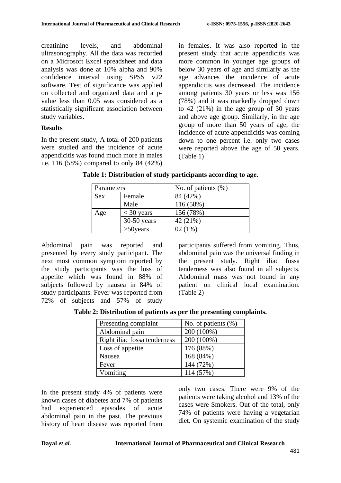creatinine levels, and abdominal ultrasonography. All the data was recorded on a Microsoft Excel spreadsheet and data analysis was done at 10% alpha and 90% confidence interval using SPSS v22 software. Test of significance was applied on collected and organized data and a pvalue less than 0.05 was considered as a statistically significant association between study variables.

### **Results**

In the present study, A total of 200 patients were studied and the incidence of acute appendicitis was found much more in males i.e. 116 (58%) compared to only 84 (42%) in females. It was also reported in the present study that acute appendicitis was more common in younger age groups of below 30 years of age and similarly as the age advances the incidence of acute appendicitis was decreased. The incidence among patients 30 years or less was 156 (78%) and it was markedly dropped down to 42 (21%) in the age group of 30 years and above age group. Similarly, in the age group of more than 50 years of age, the incidence of acute appendicitis was coming down to one percent i.e. only two cases were reported above the age of 50 years. (Table 1)

| Parameters |               | No. of patients $(\%)$ |
|------------|---------------|------------------------|
| <b>Sex</b> | Female        | 84 (42%)               |
|            | Male          | 116(58%)               |
| Age        | $<$ 30 years  | 156 (78%)              |
|            | $30-50$ years | 42 (21%)               |
|            | $>50$ years   | 02 (1%)                |

**Table 1: Distribution of study participants according to age.**

Abdominal pain was reported and presented by every study participant. The next most common symptom reported by the study participants was the loss of appetite which was found in 88% of subjects followed by nausea in 84% of study participants. Fever was reported from 72% of subjects and 57% of study

participants suffered from vomiting. Thus, abdominal pain was the universal finding in the present study. Right iliac fossa tenderness was also found in all subjects. Abdominal mass was not found in any patient on clinical local examination. (Table 2)

**Table 2: Distribution of patients as per the presenting complaints.**

| Presenting complaint         | No. of patients $(\%)$ |
|------------------------------|------------------------|
| Abdominal pain               | 200 (100%)             |
| Right iliac fossa tenderness | 200 (100%)             |
| Loss of appetite             | 176 (88%)              |
| Nausea                       | 168 (84%)              |
| Fever                        | 144 (72%)              |
| Vomiting                     | 114 (57%)              |

In the present study 4% of patients were known cases of diabetes and 7% of patients had experienced episodes of acute abdominal pain in the past. The previous history of heart disease was reported from only two cases. There were 9% of the patients were taking alcohol and 13% of the cases were Smokers. Out of the total, only 74% of patients were having a vegetarian diet. On systemic examination of the study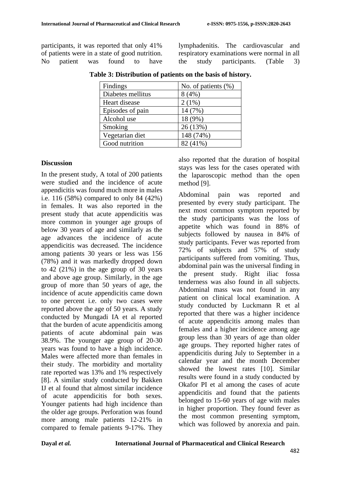participants, it was reported that only 41% of patients were in a state of good nutrition.<br>No patient was found to have No patient was found to have lymphadenitis. The cardiovascular and respiratory examinations were normal in all the study participants. (Table 3)

| Findings          | No. of patients $(\%)$ |
|-------------------|------------------------|
| Diabetes mellitus | 8(4%)                  |
| Heart disease     | $2(1\%)$               |
| Episodes of pain  | 14 (7%)                |
| Alcohol use       | 18 (9%)                |
| Smoking           | 26 (13%)               |
| Vegetarian diet   | 148 (74%)              |
| Good nutrition    | 82 (41%)               |
|                   |                        |

**Table 3: Distribution of patients on the basis of history.**

#### **Discussion**

In the present study, A total of 200 patients were studied and the incidence of acute appendicitis was found much more in males i.e. 116 (58%) compared to only 84 (42%) in females. It was also reported in the present study that acute appendicitis was more common in younger age groups of below 30 years of age and similarly as the age advances the incidence of acute appendicitis was decreased. The incidence among patients 30 years or less was 156 (78%) and it was markedly dropped down to 42 (21%) in the age group of 30 years and above age group. Similarly, in the age group of more than 50 years of age, the incidence of acute appendicitis came down to one percent i.e. only two cases were reported above the age of 50 years. A study conducted by Mungadi IA et al reported that the burden of acute appendicitis among patients of acute abdominal pain was 38.9%. The younger age group of 20-30 years was found to have a high incidence. Males were affected more than females in their study. The morbidity and mortality rate reported was 13% and 1% respectively [8]. A similar study conducted by Bakken IJ et al found that almost similar incidence of acute appendicitis for both sexes. Younger patients had high incidence than the older age groups. Perforation was found more among male patients 12-21% in compared to female patients 9-17%. They also reported that the duration of hospital stays was less for the cases operated with the laparoscopic method than the open method [9].

Abdominal pain was reported and presented by every study participant. The next most common symptom reported by the study participants was the loss of appetite which was found in 88% of subjects followed by nausea in 84% of study participants. Fever was reported from 72% of subjects and 57% of study participants suffered from vomiting. Thus, abdominal pain was the universal finding in the present study. Right iliac fossa tenderness was also found in all subjects. Abdominal mass was not found in any patient on clinical local examination. A study conducted by Luckmann R et al reported that there was a higher incidence of acute appendicitis among males than females and a higher incidence among age group less than 30 years of age than older age groups. They reported higher rates of appendicitis during July to September in a calendar year and the month December showed the lowest rates [10]. Similar results were found in a study conducted by Okafor PI et al among the cases of acute appendicitis and found that the patients belonged to 15-60 years of age with males in higher proportion. They found fever as the most common presenting symptom, which was followed by anorexia and pain.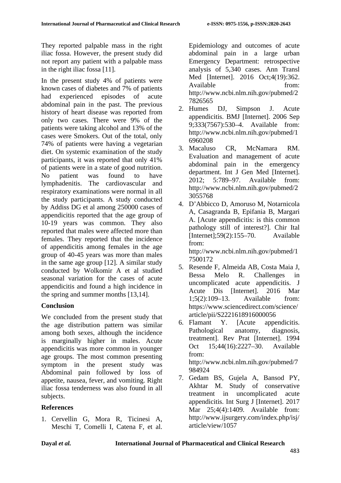They reported palpable mass in the right iliac fossa. However, the present study did not report any patient with a palpable mass in the right iliac fossa [11].

In the present study 4% of patients were known cases of diabetes and 7% of patients had experienced episodes of acute abdominal pain in the past. The previous history of heart disease was reported from only two cases. There were 9% of the patients were taking alcohol and 13% of the cases were Smokers. Out of the total, only 74% of patients were having a vegetarian diet. On systemic examination of the study participants, it was reported that only 41% of patients were in a state of good nutrition. No patient was found to have lymphadenitis. The cardiovascular and respiratory examinations were normal in all the study participants. A study conducted by Addiss DG et al among 250000 cases of appendicitis reported that the age group of 10-19 years was common. They also reported that males were affected more than females. They reported that the incidence of appendicitis among females in the age group of 40-45 years was more than males in the same age group [12]. A similar study conducted by Wolkomir A et al studied seasonal variation for the cases of acute appendicitis and found a high incidence in the spring and summer months [13,14].

# **Conclusion**

We concluded from the present study that the age distribution pattern was similar among both sexes, although the incidence is marginally higher in males. Acute appendicitis was more common in younger age groups. The most common presenting symptom in the present study was Abdominal pain followed by loss of appetite, nausea, fever, and vomiting. Right iliac fossa tenderness was also found in all subjects.

# **References**

1. Cervellin G, Mora R, Ticinesi A, Meschi T, Comelli I, Catena F, et al. Epidemiology and outcomes of acute abdominal pain in a large urban Emergency Department: retrospective analysis of 5,340 cases. Ann Transl Med [Internet]. 2016 Oct;4(19):362. Available from: http://www.ncbi.nlm.nih.gov/pubmed/2 7826565

- 2. Humes DJ, Simpson J. Acute appendicitis. BMJ [Internet]. 2006 Sep 9;333(7567):530–4. Available from: http://www.ncbi.nlm.nih.gov/pubmed/1 6960208
- 3. Macaluso CR, McNamara RM. Evaluation and management of acute abdominal pain in the emergency department. Int J Gen Med [Internet].<br>2012: 5:789–97. Available from: 2012; 5:789–97. Available from: http://www.ncbi.nlm.nih.gov/pubmed/2 3055768
- 4. D'Abbicco D, Amoruso M, Notarnicola A, Casagranda B, Epifania B, Margari A. [Acute appendicitis: is this common pathology still of interest?]. Chir Ital [Internet];59(2):155–70. Available from: http://www.ncbi.nlm.nih.gov/pubmed/1 7500172
- 5. Resende F, Almeida AB, Costa Maia J, Bessa Melo R. Challenges in uncomplicated acute appendicitis. J Acute Dis [Internet]. 2016 Mar 1:5(2):109–13. Available from: 1;5(2):109–13. Available from: https://www.sciencedirect.com/science/ article/pii/S2221618916000056
- 6. Flamant Y. [Acute appendicitis. Pathological anatomy, diagnosis, treatment]. Rev Prat [Internet]. 1994 Oct 15;44(16):2227–30. Available from: http://www.ncbi.nlm.nih.gov/pubmed/7 984924
- 7. Gedam BS, Gujela A, Bansod PY, Akhtar M. Study of conservative treatment in uncomplicated acute appendicitis. Int Surg J [Internet]. 2017 Mar 25;4(4):1409. Available from: http://www.ijsurgery.com/index.php/isj/ article/view/1057